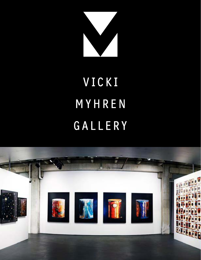

# VICKI MYHREN GALLERY

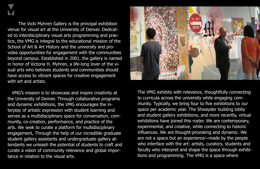The Vicki Myhren Gallery is the principal exhibition venue for visual art at the University of Denver. Dedicated to interdisciplinary visual arts programming and practice, the VMG is integral to the educational mission of the School of Art & Art History and the university and provides opportunities for engagement with the communities beyond campus. Established in 2001, the gallery is named in honor of Victoria H. Myhren, a life-long lover of the visual arts who believes students and communities should have access to vibrant spaces for creative engagement with art and artists.

 VMG's mission is to showcase and inspire creativity at the University of Denver. Through collaborative programs and dynamic exhibitions, the VMG encourages the interplay of artistic expression with student learning and serves as a multidisciplinary space for conversation, community, co-creation, performance, and practice of the arts. We seek to curate a platform for multidisciplinary engagement, Through the help of our incredible graduate student gallery assistants and undergraduate gallery attendants we unleash the potential of students to craft and curate a vision of community relevance and global importance in relation to the visual arts.



The VMG exhibits with relevance, thoughtfully connecting to curricula across the university while engaging community. Typically, we bring four to five exhibitions to our space per academic year. The Shwayder building lobby and student gallery exhibitions, and more recently, virtual exhibitions have joined this roster. We are contemporary, experimental, and creative, while connecting to historic influences. We are thought-provoking and dynamic. We are not a space but an experience—made by the people who interface with the art: artists, curators, students and faculty who interpret and shape the space through exhibitions and programming. The VMG is a space where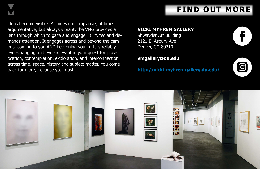

ideas become visible. At times contemplative, at times argumentative, but always vibrant, the VMG provides a lens through which to gaze and engage. It invites and demands attention. It engages across and beyond the campus, coming to you AND beckoning you in. It is reliably ever-changing and ever-relevant in your quest for provocation, contemplation, exploration, and interconnection across time, space, history and subject matter. You come back for more, because you must.



## **VICKI MYHREN GALLERY**

Shwayder Art Building 2121 E. Asbury Ave Denver, CO 80210

## **vmgallery@du.edu**

**[http://vicki-myhren-gallery.du.edu/](vicki-myhren-gallery.du.edu/)**



## **FIND OUT MORE**